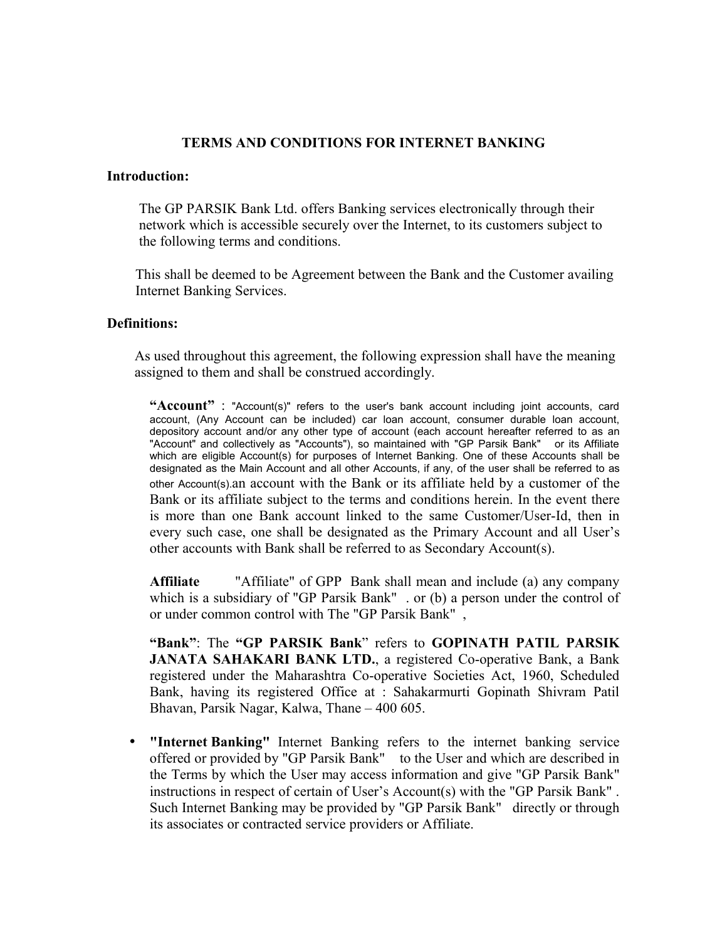## **TERMS AND CONDITIONS FOR INTERNET BANKING**

#### **Introduction:**

The GP PARSIK Bank Ltd. offers Banking services electronically through their network which is accessible securely over the Internet, to its customers subject to the following terms and conditions.

This shall be deemed to be Agreement between the Bank and the Customer availing Internet Banking Services.

#### **Definitions:**

As used throughout this agreement, the following expression shall have the meaning assigned to them and shall be construed accordingly.

**"Account"** : "Account(s)" refers to the user's bank account including joint accounts, card account, (Any Account can be included) car loan account, consumer durable loan account, depository account and/or any other type of account (each account hereafter referred to as an "Account" and collectively as "Accounts"), so maintained with "GP Parsik Bank" or its Affiliate which are eligible Account(s) for purposes of Internet Banking. One of these Accounts shall be designated as the Main Account and all other Accounts, if any, of the user shall be referred to as other Account(s).an account with the Bank or its affiliate held by a customer of the Bank or its affiliate subject to the terms and conditions herein. In the event there is more than one Bank account linked to the same Customer/User-Id, then in every such case, one shall be designated as the Primary Account and all User's other accounts with Bank shall be referred to as Secondary Account(s).

**Affiliate** "Affiliate" of GPP Bank shall mean and include (a) any company which is a subsidiary of "GP Parsik Bank" . or (b) a person under the control of or under common control with The "GP Parsik Bank" ,

**"Bank"**: The **"GP PARSIK Bank**" refers to **GOPINATH PATIL PARSIK JANATA SAHAKARI BANK LTD.**, a registered Co-operative Bank, a Bank registered under the Maharashtra Co-operative Societies Act, 1960, Scheduled Bank, having its registered Office at : Sahakarmurti Gopinath Shivram Patil Bhavan, Parsik Nagar, Kalwa, Thane – 400 605.

• **"Internet Banking"** Internet Banking refers to the internet banking service offered or provided by "GP Parsik Bank" to the User and which are described in the Terms by which the User may access information and give "GP Parsik Bank" instructions in respect of certain of User's Account(s) with the "GP Parsik Bank" . Such Internet Banking may be provided by "GP Parsik Bank" directly or through its associates or contracted service providers or Affiliate.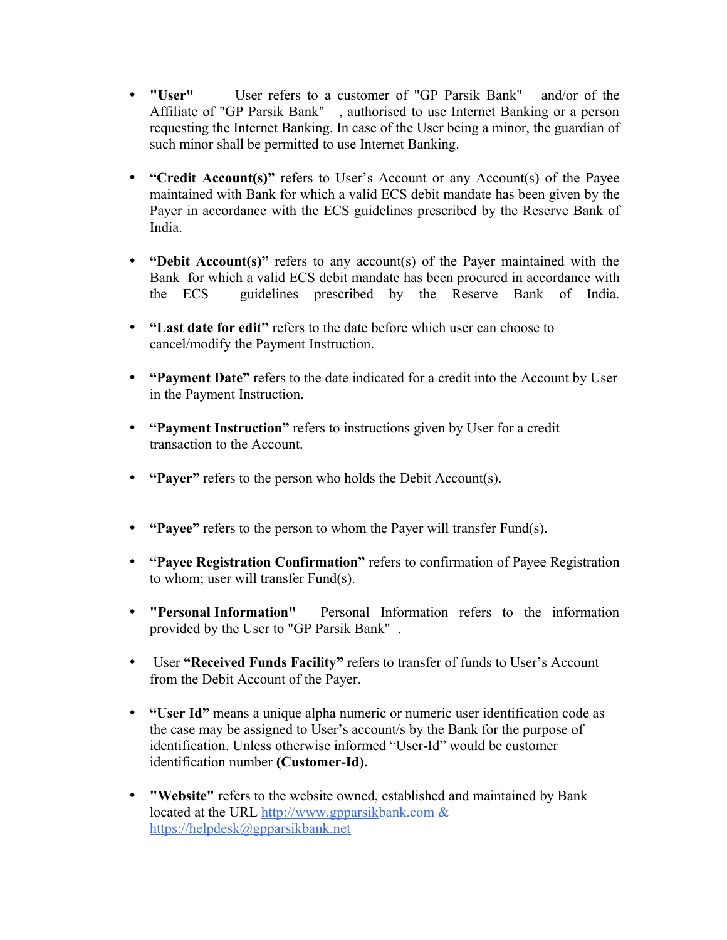- **"User"** User refers to a customer of "GP Parsik Bank" and/or of the Affiliate of "GP Parsik Bank" , authorised to use Internet Banking or a person requesting the Internet Banking. In case of the User being a minor, the guardian of such minor shall be permitted to use Internet Banking.
- **"Credit Account(s)"** refers to User's Account or any Account(s) of the Payee maintained with Bank for which a valid ECS debit mandate has been given by the Payer in accordance with the ECS guidelines prescribed by the Reserve Bank of India.
- **"Debit Account(s)"** refers to any account(s) of the Payer maintained with the Bank for which a valid ECS debit mandate has been procured in accordance with the ECS guidelines prescribed by the Reserve Bank of India.
- **"Last date for edit"** refers to the date before which user can choose to cancel/modify the Payment Instruction.
- **"Payment Date"** refers to the date indicated for a credit into the Account by User in the Payment Instruction.
- **"Payment Instruction"** refers to instructions given by User for a credit transaction to the Account.
- **"Payer"** refers to the person who holds the Debit Account(s).
- **"Payee"** refers to the person to whom the Payer will transfer Fund(s).
- **"Payee Registration Confirmation"** refers to confirmation of Payee Registration to whom; user will transfer Fund(s).
- **"Personal Information"** Personal Information refers to the information provided by the User to "GP Parsik Bank" .
- User **"Received Funds Facility"** refers to transfer of funds to User's Account from the Debit Account of the Payer.
- **"User Id"** means a unique alpha numeric or numeric user identification code as the case may be assigned to User's account/s by the Bank for the purpose of identification. Unless otherwise informed "User-Id" would be customer identification number **(Customer-Id).**
- **"Website"** refers to the website owned, established and maintained by Bank located at the URL http://www.gpparsikbank.com  $\&$ https://helpdesk@gpparsikbank.net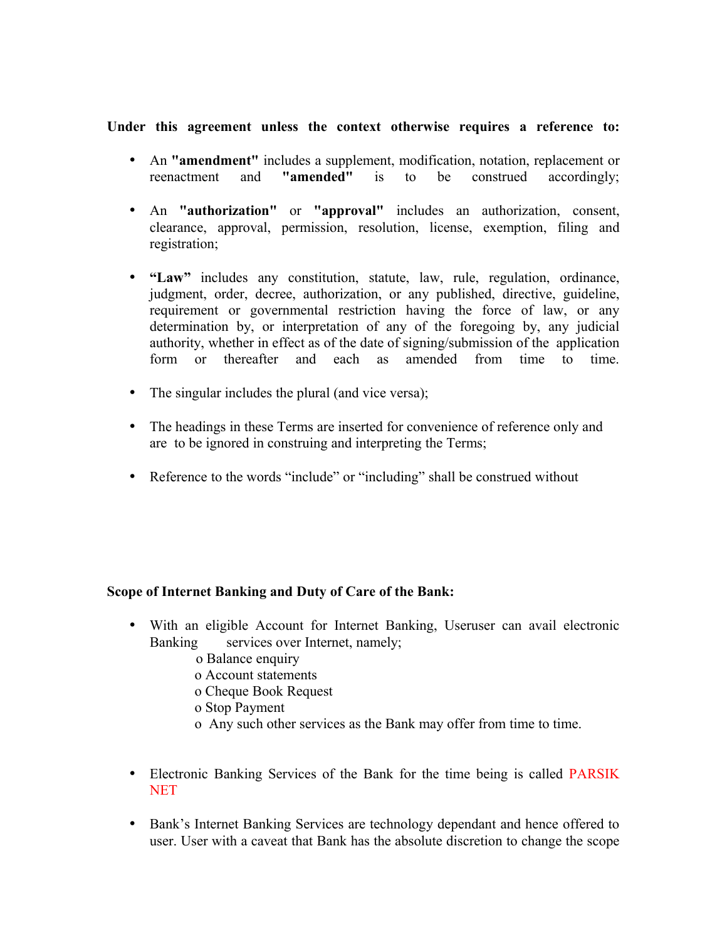### **Under this agreement unless the context otherwise requires a reference to:**

- An **"amendment"** includes a supplement, modification, notation, replacement or reenactment and **"amended"** is to be construed accordingly;
- An **"authorization"** or **"approval"** includes an authorization, consent, clearance, approval, permission, resolution, license, exemption, filing and registration;
- **"Law"** includes any constitution, statute, law, rule, regulation, ordinance, judgment, order, decree, authorization, or any published, directive, guideline, requirement or governmental restriction having the force of law, or any determination by, or interpretation of any of the foregoing by, any judicial authority, whether in effect as of the date of signing/submission of the application form or thereafter and each as amended from time to time.
- The singular includes the plural (and vice versa);
- The headings in these Terms are inserted for convenience of reference only and are to be ignored in construing and interpreting the Terms;
- Reference to the words "include" or "including" shall be construed without

### **Scope of Internet Banking and Duty of Care of the Bank:**

- With an eligible Account for Internet Banking, Useruser can avail electronic Banking services over Internet, namely;
	- o Balance enquiry
	- o Account statements
	- o Cheque Book Request
	- o Stop Payment
	- o Any such other services as the Bank may offer from time to time.
- Electronic Banking Services of the Bank for the time being is called PARSIK **NET**
- Bank's Internet Banking Services are technology dependant and hence offered to user. User with a caveat that Bank has the absolute discretion to change the scope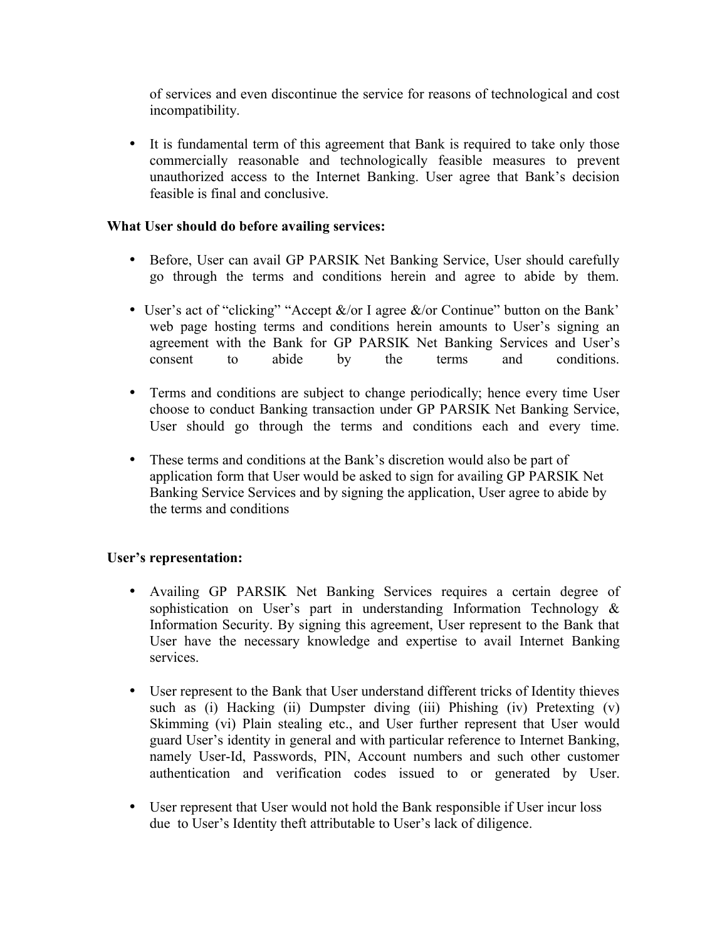of services and even discontinue the service for reasons of technological and cost incompatibility.

• It is fundamental term of this agreement that Bank is required to take only those commercially reasonable and technologically feasible measures to prevent unauthorized access to the Internet Banking. User agree that Bank's decision feasible is final and conclusive.

# **What User should do before availing services:**

- Before, User can avail GP PARSIK Net Banking Service, User should carefully go through the terms and conditions herein and agree to abide by them.
- User's act of "clicking" "Accept &/or I agree &/or Continue" button on the Bank' web page hosting terms and conditions herein amounts to User's signing an agreement with the Bank for GP PARSIK Net Banking Services and User's consent to abide by the terms and conditions.
- Terms and conditions are subject to change periodically; hence every time User choose to conduct Banking transaction under GP PARSIK Net Banking Service, User should go through the terms and conditions each and every time.
- These terms and conditions at the Bank's discretion would also be part of application form that User would be asked to sign for availing GP PARSIK Net Banking Service Services and by signing the application, User agree to abide by the terms and conditions

# **User's representation:**

- Availing GP PARSIK Net Banking Services requires a certain degree of sophistication on User's part in understanding Information Technology & Information Security. By signing this agreement, User represent to the Bank that User have the necessary knowledge and expertise to avail Internet Banking services.
- User represent to the Bank that User understand different tricks of Identity thieves such as (i) Hacking (ii) Dumpster diving (iii) Phishing (iv) Pretexting (v) Skimming (vi) Plain stealing etc., and User further represent that User would guard User's identity in general and with particular reference to Internet Banking, namely User-Id, Passwords, PIN, Account numbers and such other customer authentication and verification codes issued to or generated by User.
- User represent that User would not hold the Bank responsible if User incur loss due to User's Identity theft attributable to User's lack of diligence.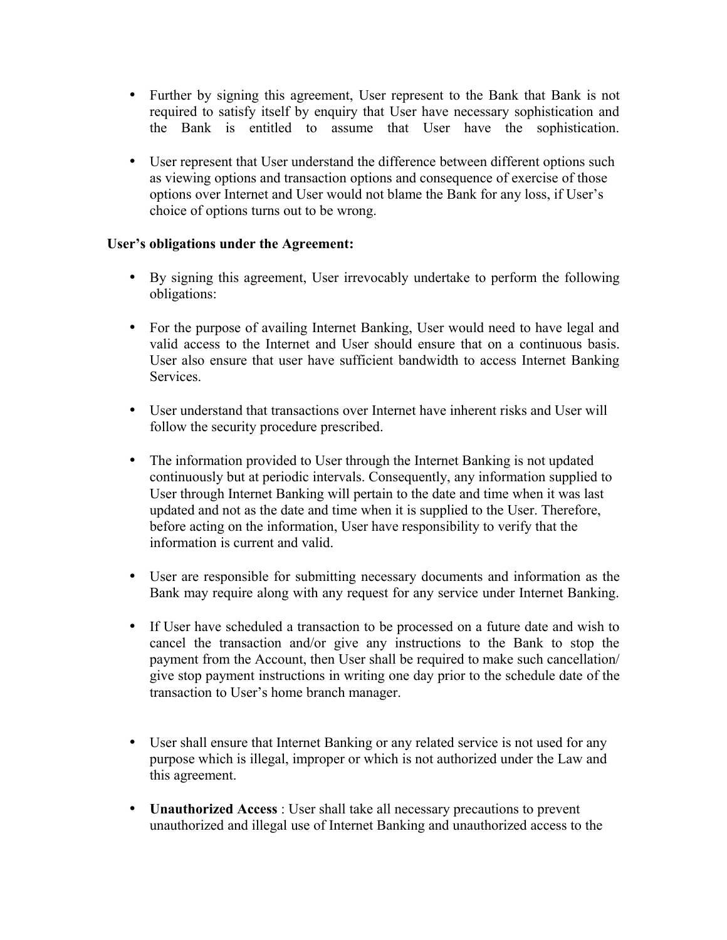- Further by signing this agreement, User represent to the Bank that Bank is not required to satisfy itself by enquiry that User have necessary sophistication and the Bank is entitled to assume that User have the sophistication.
- User represent that User understand the difference between different options such as viewing options and transaction options and consequence of exercise of those options over Internet and User would not blame the Bank for any loss, if User's choice of options turns out to be wrong.

# **User's obligations under the Agreement:**

- By signing this agreement, User irrevocably undertake to perform the following obligations:
- For the purpose of availing Internet Banking, User would need to have legal and valid access to the Internet and User should ensure that on a continuous basis. User also ensure that user have sufficient bandwidth to access Internet Banking Services.
- User understand that transactions over Internet have inherent risks and User will follow the security procedure prescribed.
- The information provided to User through the Internet Banking is not updated continuously but at periodic intervals. Consequently, any information supplied to User through Internet Banking will pertain to the date and time when it was last updated and not as the date and time when it is supplied to the User. Therefore, before acting on the information, User have responsibility to verify that the information is current and valid.
- User are responsible for submitting necessary documents and information as the Bank may require along with any request for any service under Internet Banking.
- If User have scheduled a transaction to be processed on a future date and wish to cancel the transaction and/or give any instructions to the Bank to stop the payment from the Account, then User shall be required to make such cancellation/ give stop payment instructions in writing one day prior to the schedule date of the transaction to User's home branch manager.
- User shall ensure that Internet Banking or any related service is not used for any purpose which is illegal, improper or which is not authorized under the Law and this agreement.
- **Unauthorized Access** : User shall take all necessary precautions to prevent unauthorized and illegal use of Internet Banking and unauthorized access to the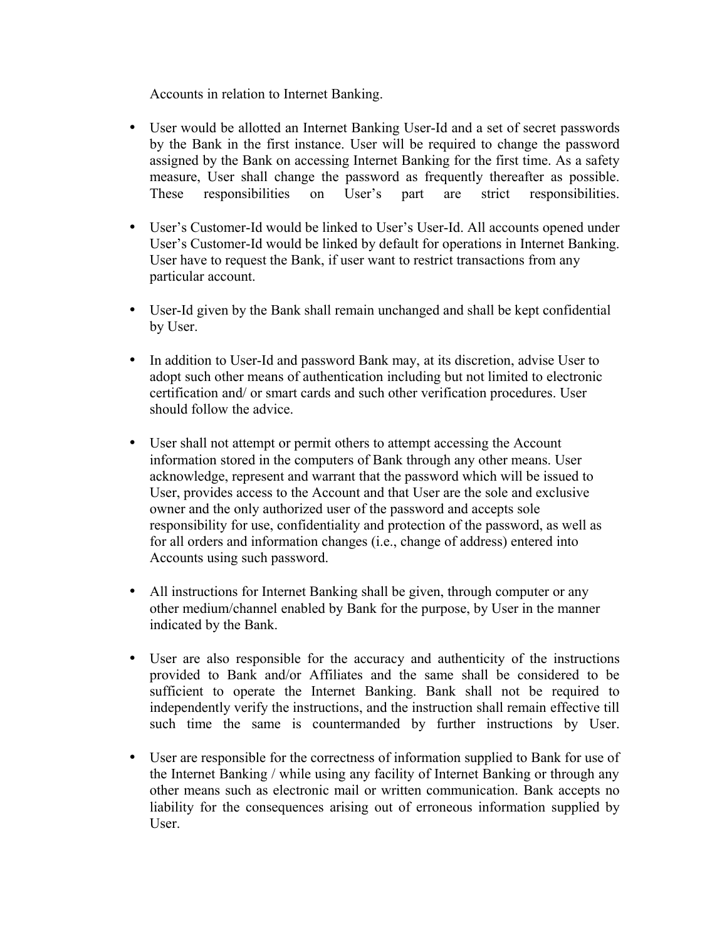Accounts in relation to Internet Banking.

- User would be allotted an Internet Banking User-Id and a set of secret passwords by the Bank in the first instance. User will be required to change the password assigned by the Bank on accessing Internet Banking for the first time. As a safety measure, User shall change the password as frequently thereafter as possible. These responsibilities on User's part are strict responsibilities.
- User's Customer-Id would be linked to User's User-Id. All accounts opened under User's Customer-Id would be linked by default for operations in Internet Banking. User have to request the Bank, if user want to restrict transactions from any particular account.
- User-Id given by the Bank shall remain unchanged and shall be kept confidential by User.
- In addition to User-Id and password Bank may, at its discretion, advise User to adopt such other means of authentication including but not limited to electronic certification and/ or smart cards and such other verification procedures. User should follow the advice.
- User shall not attempt or permit others to attempt accessing the Account information stored in the computers of Bank through any other means. User acknowledge, represent and warrant that the password which will be issued to User, provides access to the Account and that User are the sole and exclusive owner and the only authorized user of the password and accepts sole responsibility for use, confidentiality and protection of the password, as well as for all orders and information changes (i.e., change of address) entered into Accounts using such password.
- All instructions for Internet Banking shall be given, through computer or any other medium/channel enabled by Bank for the purpose, by User in the manner indicated by the Bank.
- User are also responsible for the accuracy and authenticity of the instructions provided to Bank and/or Affiliates and the same shall be considered to be sufficient to operate the Internet Banking. Bank shall not be required to independently verify the instructions, and the instruction shall remain effective till such time the same is countermanded by further instructions by User.
- User are responsible for the correctness of information supplied to Bank for use of the Internet Banking / while using any facility of Internet Banking or through any other means such as electronic mail or written communication. Bank accepts no liability for the consequences arising out of erroneous information supplied by User.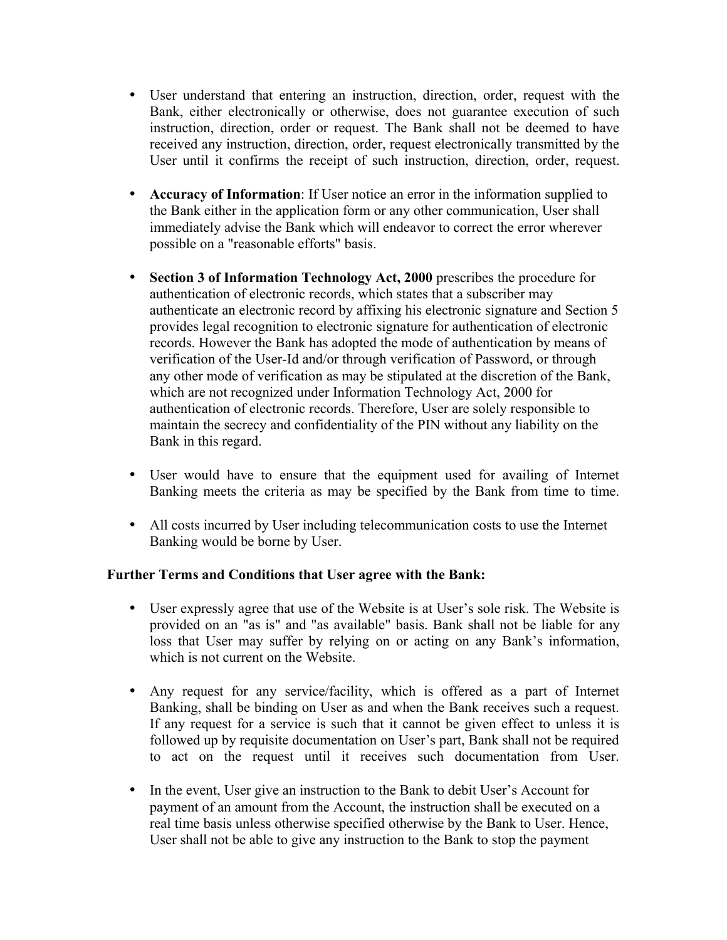- User understand that entering an instruction, direction, order, request with the Bank, either electronically or otherwise, does not guarantee execution of such instruction, direction, order or request. The Bank shall not be deemed to have received any instruction, direction, order, request electronically transmitted by the User until it confirms the receipt of such instruction, direction, order, request.
- **Accuracy of Information**: If User notice an error in the information supplied to the Bank either in the application form or any other communication, User shall immediately advise the Bank which will endeavor to correct the error wherever possible on a "reasonable efforts" basis.
- **Section 3 of Information Technology Act, 2000** prescribes the procedure for authentication of electronic records, which states that a subscriber may authenticate an electronic record by affixing his electronic signature and Section 5 provides legal recognition to electronic signature for authentication of electronic records. However the Bank has adopted the mode of authentication by means of verification of the User-Id and/or through verification of Password, or through any other mode of verification as may be stipulated at the discretion of the Bank, which are not recognized under Information Technology Act, 2000 for authentication of electronic records. Therefore, User are solely responsible to maintain the secrecy and confidentiality of the PIN without any liability on the Bank in this regard.
- User would have to ensure that the equipment used for availing of Internet Banking meets the criteria as may be specified by the Bank from time to time.
- All costs incurred by User including telecommunication costs to use the Internet Banking would be borne by User.

# **Further Terms and Conditions that User agree with the Bank:**

- User expressly agree that use of the Website is at User's sole risk. The Website is provided on an "as is" and "as available" basis. Bank shall not be liable for any loss that User may suffer by relying on or acting on any Bank's information, which is not current on the Website.
- Any request for any service/facility, which is offered as a part of Internet Banking, shall be binding on User as and when the Bank receives such a request. If any request for a service is such that it cannot be given effect to unless it is followed up by requisite documentation on User's part, Bank shall not be required to act on the request until it receives such documentation from User.
- In the event, User give an instruction to the Bank to debit User's Account for payment of an amount from the Account, the instruction shall be executed on a real time basis unless otherwise specified otherwise by the Bank to User. Hence, User shall not be able to give any instruction to the Bank to stop the payment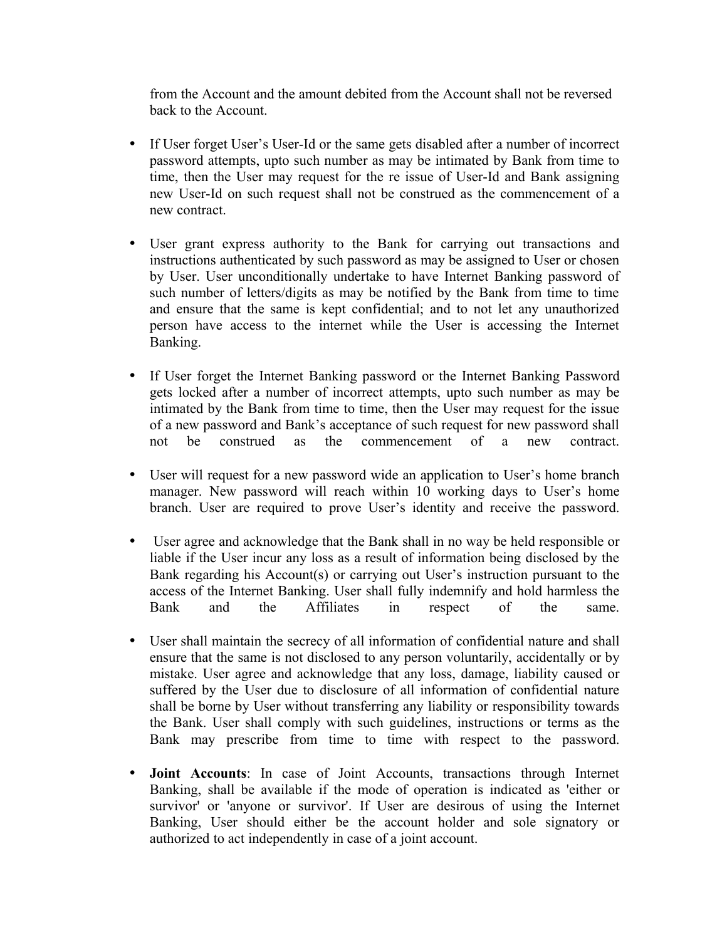from the Account and the amount debited from the Account shall not be reversed back to the Account.

- If User forget User's User-Id or the same gets disabled after a number of incorrect password attempts, upto such number as may be intimated by Bank from time to time, then the User may request for the re issue of User-Id and Bank assigning new User-Id on such request shall not be construed as the commencement of a new contract.
- User grant express authority to the Bank for carrying out transactions and instructions authenticated by such password as may be assigned to User or chosen by User. User unconditionally undertake to have Internet Banking password of such number of letters/digits as may be notified by the Bank from time to time and ensure that the same is kept confidential; and to not let any unauthorized person have access to the internet while the User is accessing the Internet Banking.
- If User forget the Internet Banking password or the Internet Banking Password gets locked after a number of incorrect attempts, upto such number as may be intimated by the Bank from time to time, then the User may request for the issue of a new password and Bank's acceptance of such request for new password shall not be construed as the commencement of a new contract.
- User will request for a new password wide an application to User's home branch manager. New password will reach within 10 working days to User's home branch. User are required to prove User's identity and receive the password.
- User agree and acknowledge that the Bank shall in no way be held responsible or liable if the User incur any loss as a result of information being disclosed by the Bank regarding his Account(s) or carrying out User's instruction pursuant to the access of the Internet Banking. User shall fully indemnify and hold harmless the Bank and the Affiliates in respect of the same.
- User shall maintain the secrecy of all information of confidential nature and shall ensure that the same is not disclosed to any person voluntarily, accidentally or by mistake. User agree and acknowledge that any loss, damage, liability caused or suffered by the User due to disclosure of all information of confidential nature shall be borne by User without transferring any liability or responsibility towards the Bank. User shall comply with such guidelines, instructions or terms as the Bank may prescribe from time to time with respect to the password.
- **Joint Accounts**: In case of Joint Accounts, transactions through Internet Banking, shall be available if the mode of operation is indicated as 'either or survivor' or 'anyone or survivor'. If User are desirous of using the Internet Banking, User should either be the account holder and sole signatory or authorized to act independently in case of a joint account.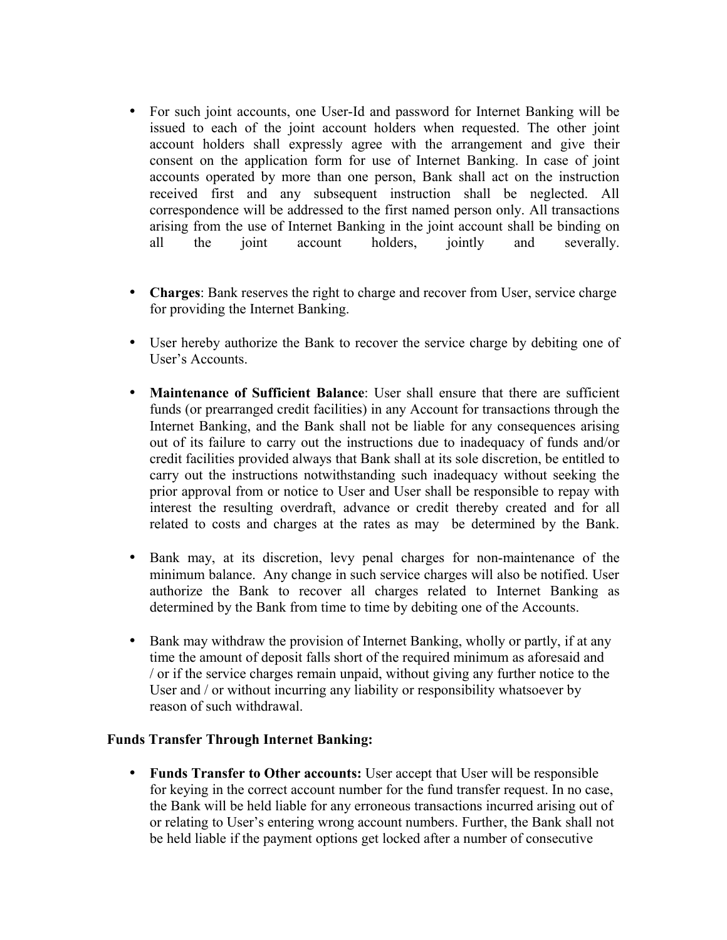- For such joint accounts, one User-Id and password for Internet Banking will be issued to each of the joint account holders when requested. The other joint account holders shall expressly agree with the arrangement and give their consent on the application form for use of Internet Banking. In case of joint accounts operated by more than one person, Bank shall act on the instruction received first and any subsequent instruction shall be neglected. All correspondence will be addressed to the first named person only. All transactions arising from the use of Internet Banking in the joint account shall be binding on all the joint account holders, jointly and severally.
- **Charges**: Bank reserves the right to charge and recover from User, service charge for providing the Internet Banking.
- User hereby authorize the Bank to recover the service charge by debiting one of User's Accounts.
- **Maintenance of Sufficient Balance**: User shall ensure that there are sufficient funds (or prearranged credit facilities) in any Account for transactions through the Internet Banking, and the Bank shall not be liable for any consequences arising out of its failure to carry out the instructions due to inadequacy of funds and/or credit facilities provided always that Bank shall at its sole discretion, be entitled to carry out the instructions notwithstanding such inadequacy without seeking the prior approval from or notice to User and User shall be responsible to repay with interest the resulting overdraft, advance or credit thereby created and for all related to costs and charges at the rates as may be determined by the Bank.
- Bank may, at its discretion, levy penal charges for non-maintenance of the minimum balance. Any change in such service charges will also be notified. User authorize the Bank to recover all charges related to Internet Banking as determined by the Bank from time to time by debiting one of the Accounts.
- Bank may withdraw the provision of Internet Banking, wholly or partly, if at any time the amount of deposit falls short of the required minimum as aforesaid and / or if the service charges remain unpaid, without giving any further notice to the User and / or without incurring any liability or responsibility whatsoever by reason of such withdrawal.

### **Funds Transfer Through Internet Banking:**

• **Funds Transfer to Other accounts:** User accept that User will be responsible for keying in the correct account number for the fund transfer request. In no case, the Bank will be held liable for any erroneous transactions incurred arising out of or relating to User's entering wrong account numbers. Further, the Bank shall not be held liable if the payment options get locked after a number of consecutive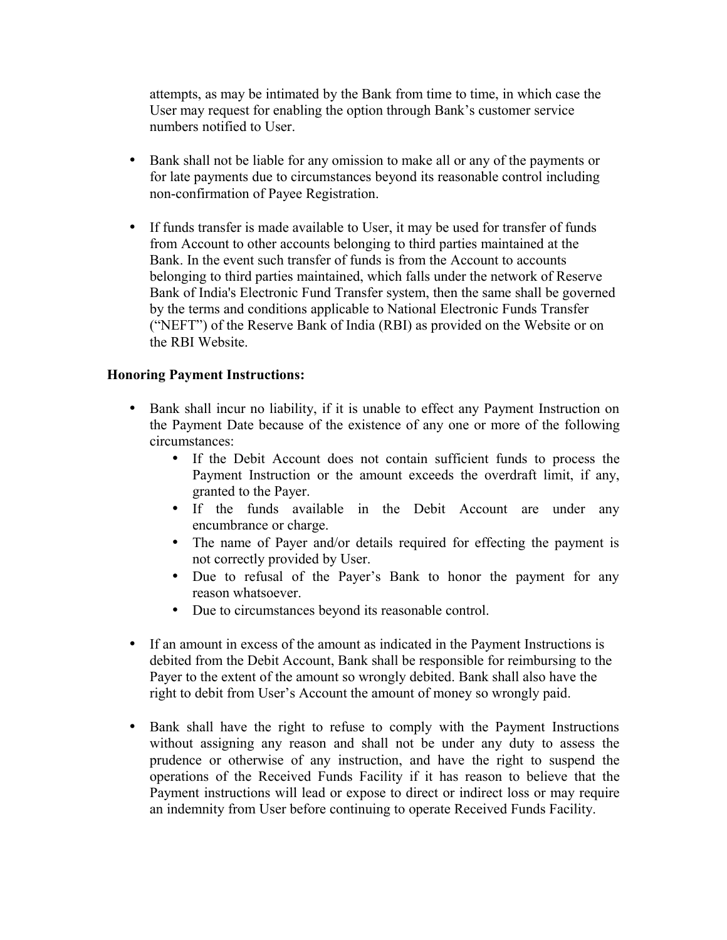attempts, as may be intimated by the Bank from time to time, in which case the User may request for enabling the option through Bank's customer service numbers notified to User.

- Bank shall not be liable for any omission to make all or any of the payments or for late payments due to circumstances beyond its reasonable control including non-confirmation of Payee Registration.
- If funds transfer is made available to User, it may be used for transfer of funds from Account to other accounts belonging to third parties maintained at the Bank. In the event such transfer of funds is from the Account to accounts belonging to third parties maintained, which falls under the network of Reserve Bank of India's Electronic Fund Transfer system, then the same shall be governed by the terms and conditions applicable to National Electronic Funds Transfer ("NEFT") of the Reserve Bank of India (RBI) as provided on the Website or on the RBI Website.

# **Honoring Payment Instructions:**

- Bank shall incur no liability, if it is unable to effect any Payment Instruction on the Payment Date because of the existence of any one or more of the following circumstances:
	- If the Debit Account does not contain sufficient funds to process the Payment Instruction or the amount exceeds the overdraft limit, if any, granted to the Payer.
	- If the funds available in the Debit Account are under any encumbrance or charge.
	- The name of Payer and/or details required for effecting the payment is not correctly provided by User.
	- Due to refusal of the Payer's Bank to honor the payment for any reason whatsoever.
	- Due to circumstances beyond its reasonable control.
- If an amount in excess of the amount as indicated in the Payment Instructions is debited from the Debit Account, Bank shall be responsible for reimbursing to the Payer to the extent of the amount so wrongly debited. Bank shall also have the right to debit from User's Account the amount of money so wrongly paid.
- Bank shall have the right to refuse to comply with the Payment Instructions without assigning any reason and shall not be under any duty to assess the prudence or otherwise of any instruction, and have the right to suspend the operations of the Received Funds Facility if it has reason to believe that the Payment instructions will lead or expose to direct or indirect loss or may require an indemnity from User before continuing to operate Received Funds Facility.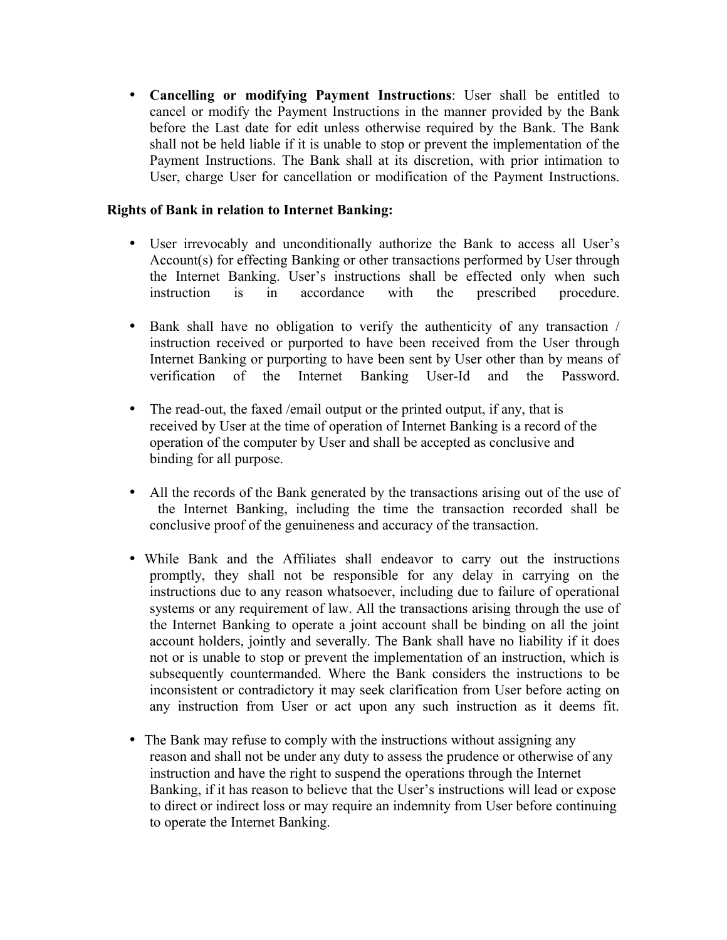• **Cancelling or modifying Payment Instructions**: User shall be entitled to cancel or modify the Payment Instructions in the manner provided by the Bank before the Last date for edit unless otherwise required by the Bank. The Bank shall not be held liable if it is unable to stop or prevent the implementation of the Payment Instructions. The Bank shall at its discretion, with prior intimation to User, charge User for cancellation or modification of the Payment Instructions.

## **Rights of Bank in relation to Internet Banking:**

- User irrevocably and unconditionally authorize the Bank to access all User's Account(s) for effecting Banking or other transactions performed by User through the Internet Banking. User's instructions shall be effected only when such instruction is in accordance with the prescribed procedure.
- Bank shall have no obligation to verify the authenticity of any transaction / instruction received or purported to have been received from the User through Internet Banking or purporting to have been sent by User other than by means of verification of the Internet Banking User-Id and the Password.
- The read-out, the faxed /email output or the printed output, if any, that is received by User at the time of operation of Internet Banking is a record of the operation of the computer by User and shall be accepted as conclusive and binding for all purpose.
- All the records of the Bank generated by the transactions arising out of the use of the Internet Banking, including the time the transaction recorded shall be conclusive proof of the genuineness and accuracy of the transaction.
- While Bank and the Affiliates shall endeavor to carry out the instructions promptly, they shall not be responsible for any delay in carrying on the instructions due to any reason whatsoever, including due to failure of operational systems or any requirement of law. All the transactions arising through the use of the Internet Banking to operate a joint account shall be binding on all the joint account holders, jointly and severally. The Bank shall have no liability if it does not or is unable to stop or prevent the implementation of an instruction, which is subsequently countermanded. Where the Bank considers the instructions to be inconsistent or contradictory it may seek clarification from User before acting on any instruction from User or act upon any such instruction as it deems fit.
- The Bank may refuse to comply with the instructions without assigning any reason and shall not be under any duty to assess the prudence or otherwise of any instruction and have the right to suspend the operations through the Internet Banking, if it has reason to believe that the User's instructions will lead or expose to direct or indirect loss or may require an indemnity from User before continuing to operate the Internet Banking.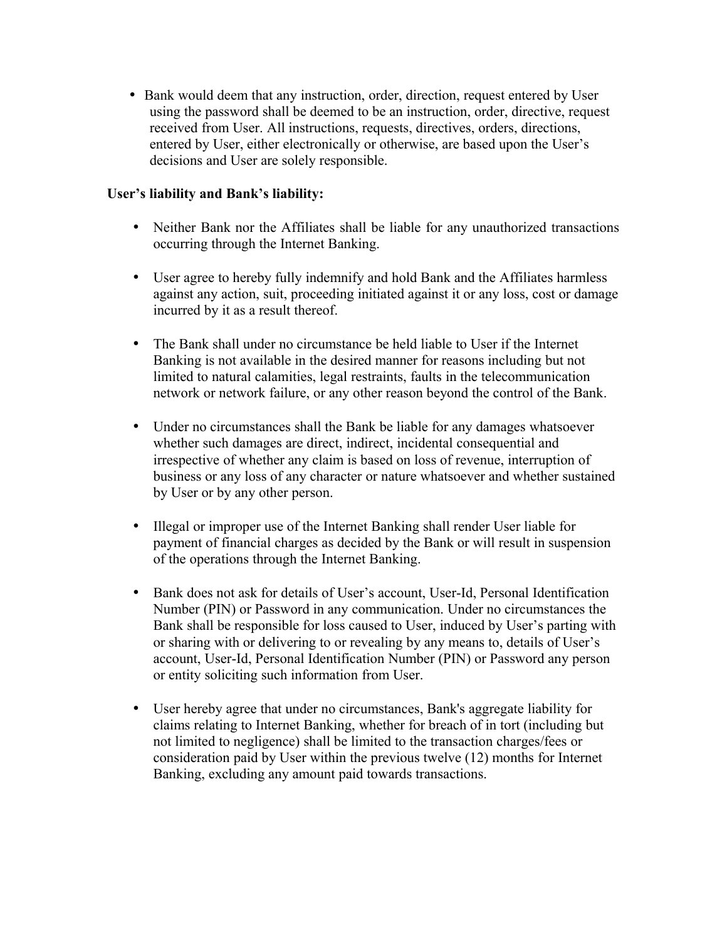• Bank would deem that any instruction, order, direction, request entered by User using the password shall be deemed to be an instruction, order, directive, request received from User. All instructions, requests, directives, orders, directions, entered by User, either electronically or otherwise, are based upon the User's decisions and User are solely responsible.

# **User's liability and Bank's liability:**

- Neither Bank nor the Affiliates shall be liable for any unauthorized transactions occurring through the Internet Banking.
- User agree to hereby fully indemnify and hold Bank and the Affiliates harmless against any action, suit, proceeding initiated against it or any loss, cost or damage incurred by it as a result thereof.
- The Bank shall under no circumstance be held liable to User if the Internet Banking is not available in the desired manner for reasons including but not limited to natural calamities, legal restraints, faults in the telecommunication network or network failure, or any other reason beyond the control of the Bank.
- Under no circumstances shall the Bank be liable for any damages whatsoever whether such damages are direct, indirect, incidental consequential and irrespective of whether any claim is based on loss of revenue, interruption of business or any loss of any character or nature whatsoever and whether sustained by User or by any other person.
- Illegal or improper use of the Internet Banking shall render User liable for payment of financial charges as decided by the Bank or will result in suspension of the operations through the Internet Banking.
- Bank does not ask for details of User's account, User-Id, Personal Identification Number (PIN) or Password in any communication. Under no circumstances the Bank shall be responsible for loss caused to User, induced by User's parting with or sharing with or delivering to or revealing by any means to, details of User's account, User-Id, Personal Identification Number (PIN) or Password any person or entity soliciting such information from User.
- User hereby agree that under no circumstances, Bank's aggregate liability for claims relating to Internet Banking, whether for breach of in tort (including but not limited to negligence) shall be limited to the transaction charges/fees or consideration paid by User within the previous twelve (12) months for Internet Banking, excluding any amount paid towards transactions.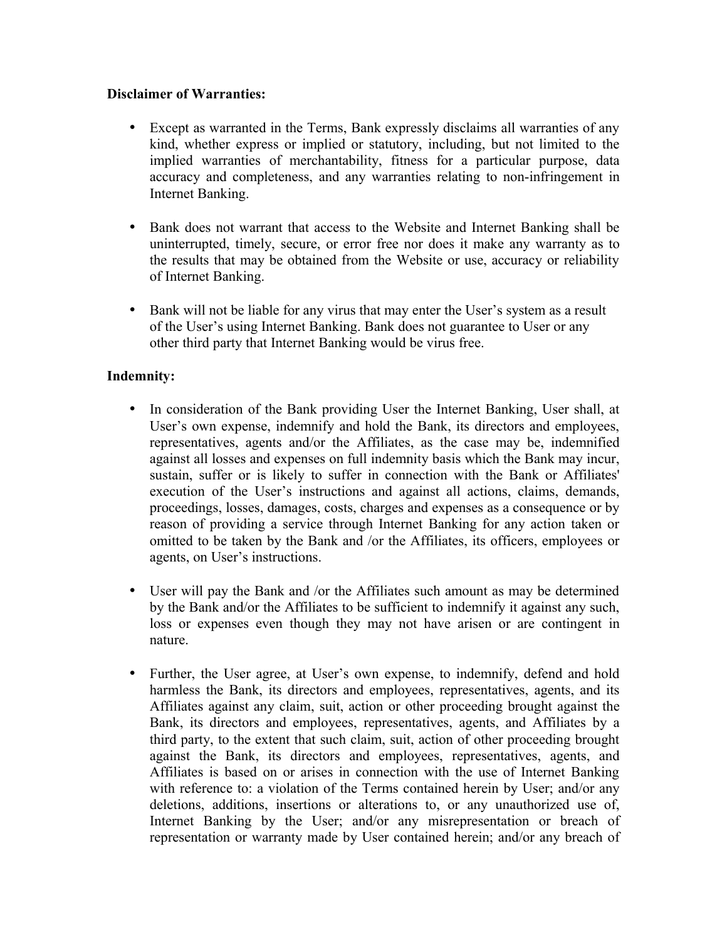# **Disclaimer of Warranties:**

- Except as warranted in the Terms, Bank expressly disclaims all warranties of any kind, whether express or implied or statutory, including, but not limited to the implied warranties of merchantability, fitness for a particular purpose, data accuracy and completeness, and any warranties relating to non-infringement in Internet Banking.
- Bank does not warrant that access to the Website and Internet Banking shall be uninterrupted, timely, secure, or error free nor does it make any warranty as to the results that may be obtained from the Website or use, accuracy or reliability of Internet Banking.
- Bank will not be liable for any virus that may enter the User's system as a result of the User's using Internet Banking. Bank does not guarantee to User or any other third party that Internet Banking would be virus free.

# **Indemnity:**

- In consideration of the Bank providing User the Internet Banking, User shall, at User's own expense, indemnify and hold the Bank, its directors and employees, representatives, agents and/or the Affiliates, as the case may be, indemnified against all losses and expenses on full indemnity basis which the Bank may incur, sustain, suffer or is likely to suffer in connection with the Bank or Affiliates' execution of the User's instructions and against all actions, claims, demands, proceedings, losses, damages, costs, charges and expenses as a consequence or by reason of providing a service through Internet Banking for any action taken or omitted to be taken by the Bank and /or the Affiliates, its officers, employees or agents, on User's instructions.
- User will pay the Bank and /or the Affiliates such amount as may be determined by the Bank and/or the Affiliates to be sufficient to indemnify it against any such, loss or expenses even though they may not have arisen or are contingent in nature.
- Further, the User agree, at User's own expense, to indemnify, defend and hold harmless the Bank, its directors and employees, representatives, agents, and its Affiliates against any claim, suit, action or other proceeding brought against the Bank, its directors and employees, representatives, agents, and Affiliates by a third party, to the extent that such claim, suit, action of other proceeding brought against the Bank, its directors and employees, representatives, agents, and Affiliates is based on or arises in connection with the use of Internet Banking with reference to: a violation of the Terms contained herein by User; and/or any deletions, additions, insertions or alterations to, or any unauthorized use of, Internet Banking by the User; and/or any misrepresentation or breach of representation or warranty made by User contained herein; and/or any breach of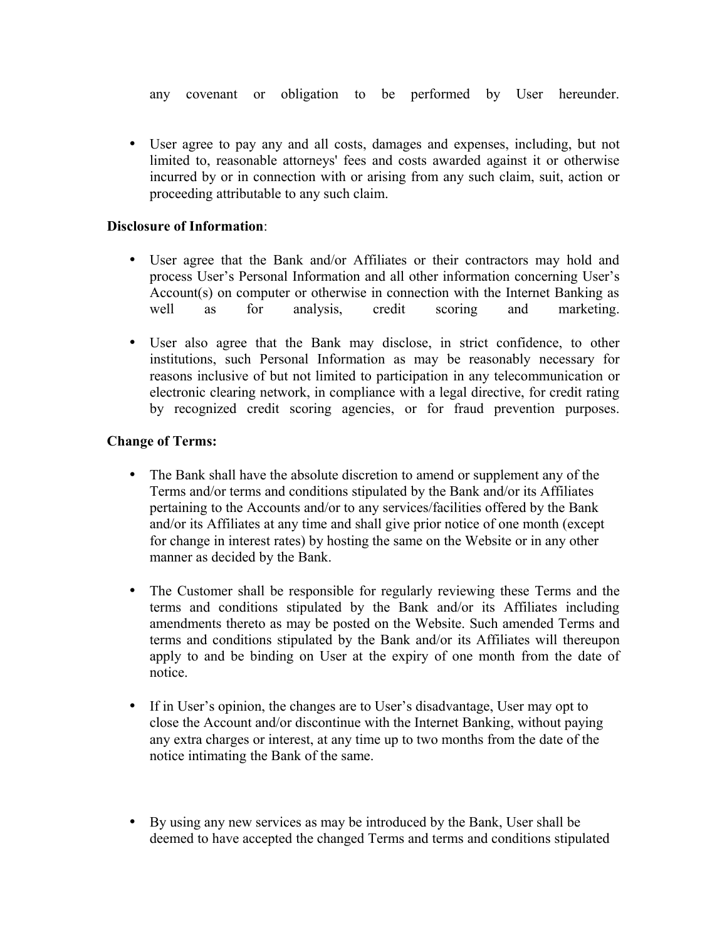any covenant or obligation to be performed by User hereunder.

• User agree to pay any and all costs, damages and expenses, including, but not limited to, reasonable attorneys' fees and costs awarded against it or otherwise incurred by or in connection with or arising from any such claim, suit, action or proceeding attributable to any such claim.

### **Disclosure of Information**:

- User agree that the Bank and/or Affiliates or their contractors may hold and process User's Personal Information and all other information concerning User's Account(s) on computer or otherwise in connection with the Internet Banking as well as for analysis, credit scoring and marketing.
- User also agree that the Bank may disclose, in strict confidence, to other institutions, such Personal Information as may be reasonably necessary for reasons inclusive of but not limited to participation in any telecommunication or electronic clearing network, in compliance with a legal directive, for credit rating by recognized credit scoring agencies, or for fraud prevention purposes.

# **Change of Terms:**

- The Bank shall have the absolute discretion to amend or supplement any of the Terms and/or terms and conditions stipulated by the Bank and/or its Affiliates pertaining to the Accounts and/or to any services/facilities offered by the Bank and/or its Affiliates at any time and shall give prior notice of one month (except for change in interest rates) by hosting the same on the Website or in any other manner as decided by the Bank.
- The Customer shall be responsible for regularly reviewing these Terms and the terms and conditions stipulated by the Bank and/or its Affiliates including amendments thereto as may be posted on the Website. Such amended Terms and terms and conditions stipulated by the Bank and/or its Affiliates will thereupon apply to and be binding on User at the expiry of one month from the date of notice.
- If in User's opinion, the changes are to User's disadvantage, User may opt to close the Account and/or discontinue with the Internet Banking, without paying any extra charges or interest, at any time up to two months from the date of the notice intimating the Bank of the same.
- By using any new services as may be introduced by the Bank, User shall be deemed to have accepted the changed Terms and terms and conditions stipulated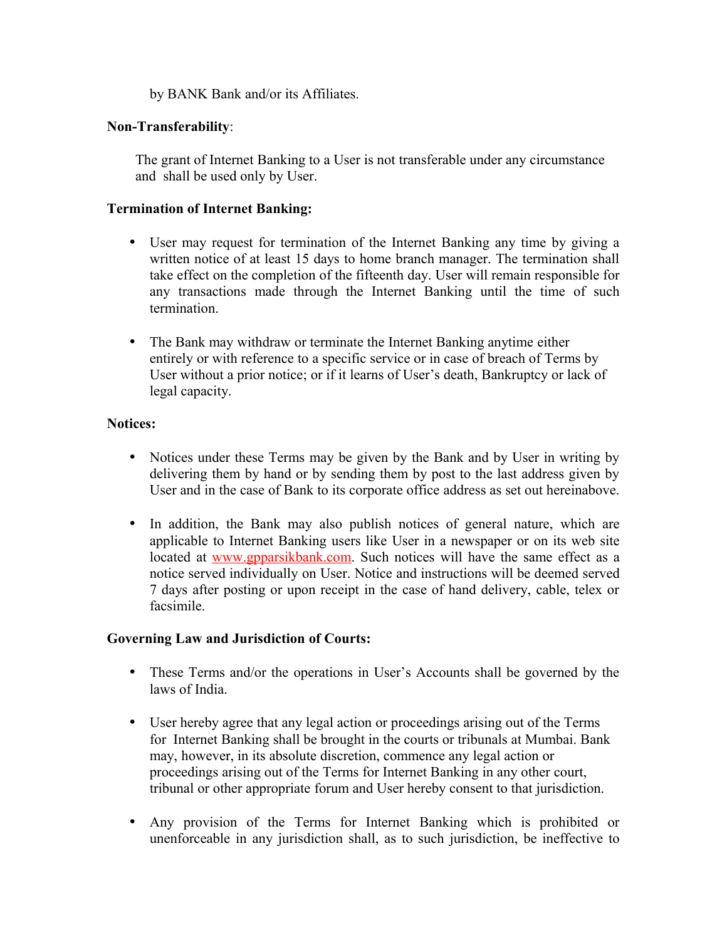by BANK Bank and/or its Affiliates.

# **Non-Transferability**:

The grant of Internet Banking to a User is not transferable under any circumstance and shall be used only by User.

# **Termination of Internet Banking:**

- User may request for termination of the Internet Banking any time by giving a written notice of at least 15 days to home branch manager. The termination shall take effect on the completion of the fifteenth day. User will remain responsible for any transactions made through the Internet Banking until the time of such termination.
- The Bank may withdraw or terminate the Internet Banking anytime either entirely or with reference to a specific service or in case of breach of Terms by User without a prior notice; or if it learns of User's death, Bankruptcy or lack of legal capacity.

# **Notices:**

- Notices under these Terms may be given by the Bank and by User in writing by delivering them by hand or by sending them by post to the last address given by User and in the case of Bank to its corporate office address as set out hereinabove.
- In addition, the Bank may also publish notices of general nature, which are applicable to Internet Banking users like User in a newspaper or on its web site located at [www.gpparsikbank.com.](http://www.gpparsikbank.com/) Such notices will have the same effect as a notice served individually on User. Notice and instructions will be deemed served 7 days after posting or upon receipt in the case of hand delivery, cable, telex or facsimile.

### **Governing Law and Jurisdiction of Courts:**

- These Terms and/or the operations in User's Accounts shall be governed by the laws of India.
- User hereby agree that any legal action or proceedings arising out of the Terms for Internet Banking shall be brought in the courts or tribunals at Mumbai. Bank may, however, in its absolute discretion, commence any legal action or proceedings arising out of the Terms for Internet Banking in any other court, tribunal or other appropriate forum and User hereby consent to that jurisdiction.
- Any provision of the Terms for Internet Banking which is prohibited or unenforceable in any jurisdiction shall, as to such jurisdiction, be ineffective to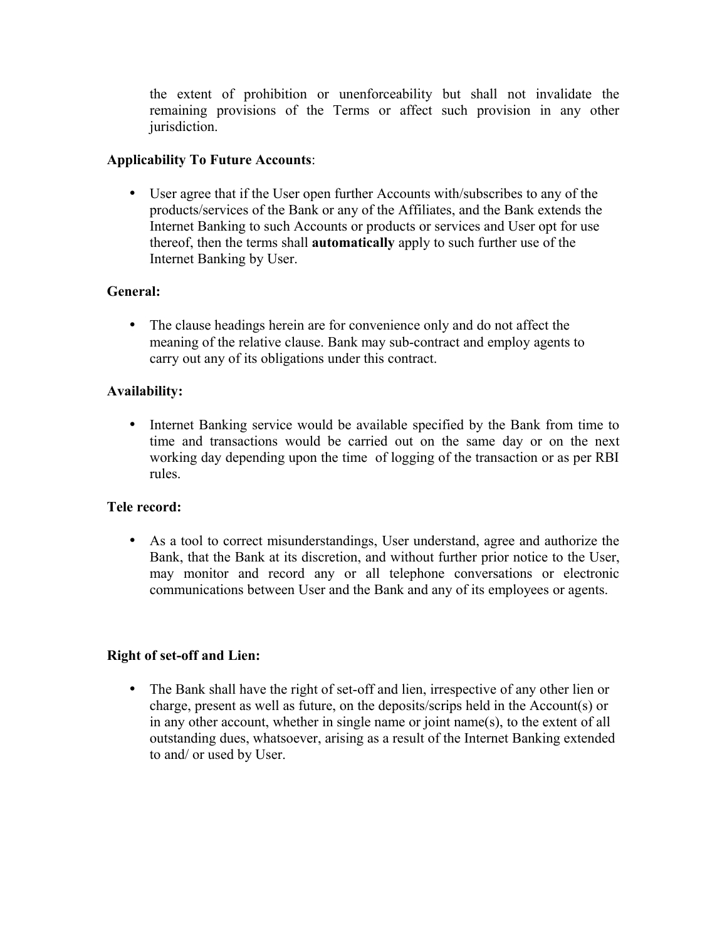the extent of prohibition or unenforceability but shall not invalidate the remaining provisions of the Terms or affect such provision in any other jurisdiction.

# **Applicability To Future Accounts**:

• User agree that if the User open further Accounts with/subscribes to any of the products/services of the Bank or any of the Affiliates, and the Bank extends the Internet Banking to such Accounts or products or services and User opt for use thereof, then the terms shall **automatically** apply to such further use of the Internet Banking by User.

# **General:**

• The clause headings herein are for convenience only and do not affect the meaning of the relative clause. Bank may sub-contract and employ agents to carry out any of its obligations under this contract.

# **Availability:**

• Internet Banking service would be available specified by the Bank from time to time and transactions would be carried out on the same day or on the next working day depending upon the time of logging of the transaction or as per RBI rules.

# **Tele record:**

• As a tool to correct misunderstandings, User understand, agree and authorize the Bank, that the Bank at its discretion, and without further prior notice to the User, may monitor and record any or all telephone conversations or electronic communications between User and the Bank and any of its employees or agents.

# **Right of set-off and Lien:**

• The Bank shall have the right of set-off and lien, irrespective of any other lien or charge, present as well as future, on the deposits/scrips held in the Account(s) or in any other account, whether in single name or joint name(s), to the extent of all outstanding dues, whatsoever, arising as a result of the Internet Banking extended to and/ or used by User.